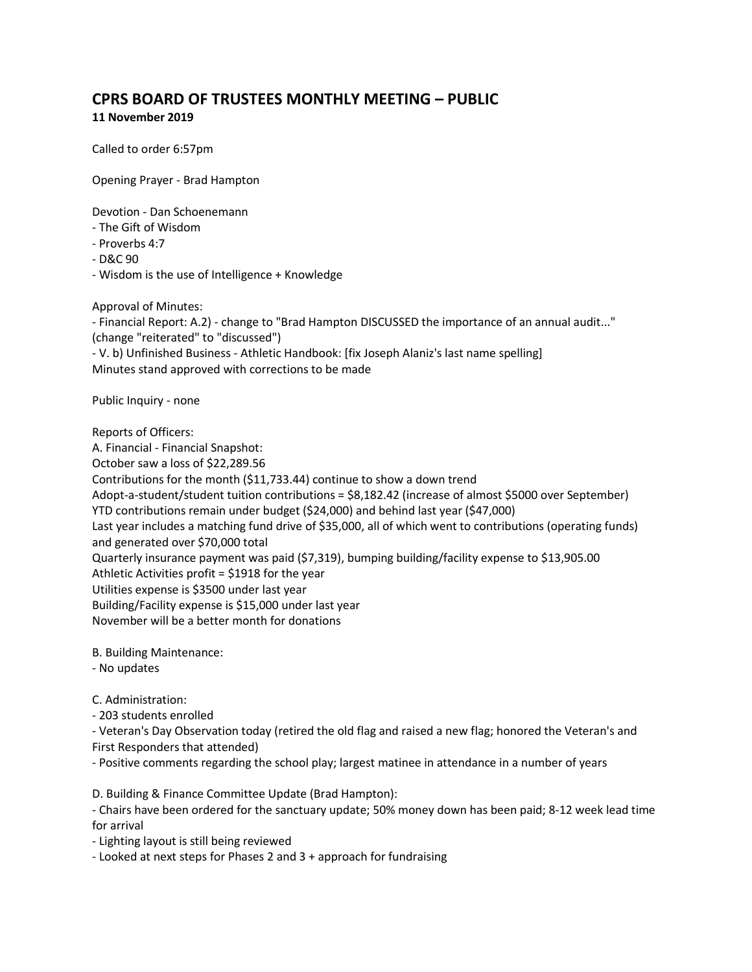## **CPRS BOARD OF TRUSTEES MONTHLY MEETING – PUBLIC 11 November 2019**

Called to order 6:57pm

Opening Prayer - Brad Hampton

Devotion - Dan Schoenemann

- The Gift of Wisdom
- Proverbs 4:7
- D&C 90

- Wisdom is the use of Intelligence + Knowledge

Approval of Minutes:

- Financial Report: A.2) - change to "Brad Hampton DISCUSSED the importance of an annual audit..." (change "reiterated" to "discussed")

- V. b) Unfinished Business - Athletic Handbook: [fix Joseph Alaniz's last name spelling] Minutes stand approved with corrections to be made

Public Inquiry - none

Reports of Officers: A. Financial - Financial Snapshot: October saw a loss of \$22,289.56 Contributions for the month (\$11,733.44) continue to show a down trend Adopt-a-student/student tuition contributions = \$8,182.42 (increase of almost \$5000 over September) YTD contributions remain under budget (\$24,000) and behind last year (\$47,000) Last year includes a matching fund drive of \$35,000, all of which went to contributions (operating funds) and generated over \$70,000 total Quarterly insurance payment was paid (\$7,319), bumping building/facility expense to \$13,905.00 Athletic Activities profit = \$1918 for the year Utilities expense is \$3500 under last year Building/Facility expense is \$15,000 under last year November will be a better month for donations

B. Building Maintenance:

- No updates

C. Administration:

- 203 students enrolled

- Veteran's Day Observation today (retired the old flag and raised a new flag; honored the Veteran's and First Responders that attended)

- Positive comments regarding the school play; largest matinee in attendance in a number of years

D. Building & Finance Committee Update (Brad Hampton):

- Chairs have been ordered for the sanctuary update; 50% money down has been paid; 8-12 week lead time for arrival

- Lighting layout is still being reviewed

- Looked at next steps for Phases 2 and 3 + approach for fundraising